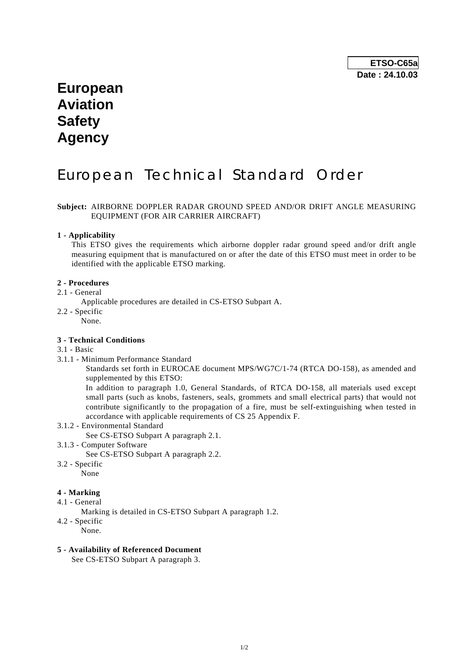# **European Aviation Safety Agency**

# European Technical Standard Order

## **Subject:** AIRBORNE DOPPLER RADAR GROUND SPEED AND/OR DRIFT ANGLE MEASURING EQUIPMENT (FOR AIR CARRIER AIRCRAFT)

#### **1 - Applicability**

 This ETSO gives the requirements which airborne doppler radar ground speed and/or drift angle measuring equipment that is manufactured on or after the date of this ETSO must meet in order to be identified with the applicable ETSO marking.

#### **2 - Procedures**

- 2.1 General
	- Applicable procedures are detailed in CS-ETSO Subpart A.
- 2.2 Specific

None.

## **3 - Technical Conditions**

#### 3.1 - Basic

3.1.1 - Minimum Performance Standard

 Standards set forth in EUROCAE document MPS/WG7C/1-74 (RTCA DO-158), as amended and supplemented by this ETSO:

 In addition to paragraph 1.0, General Standards, of RTCA DO-158, all materials used except small parts (such as knobs, fasteners, seals, grommets and small electrical parts) that would not contribute significantly to the propagation of a fire, must be self-extinguishing when tested in accordance with applicable requirements of CS 25 Appendix F.

- 3.1.2 Environmental Standard
	- See CS-ETSO Subpart A paragraph 2.1.
- 3.1.3 Computer Software

See CS-ETSO Subpart A paragraph 2.2.

3.2 - Specific None

#### **4 - Marking**

- 4.1 General
	- Marking is detailed in CS-ETSO Subpart A paragraph 1.2.
- 4.2 Specific
	- None.

### **5 - Availability of Referenced Document**

See CS-ETSO Subpart A paragraph 3.